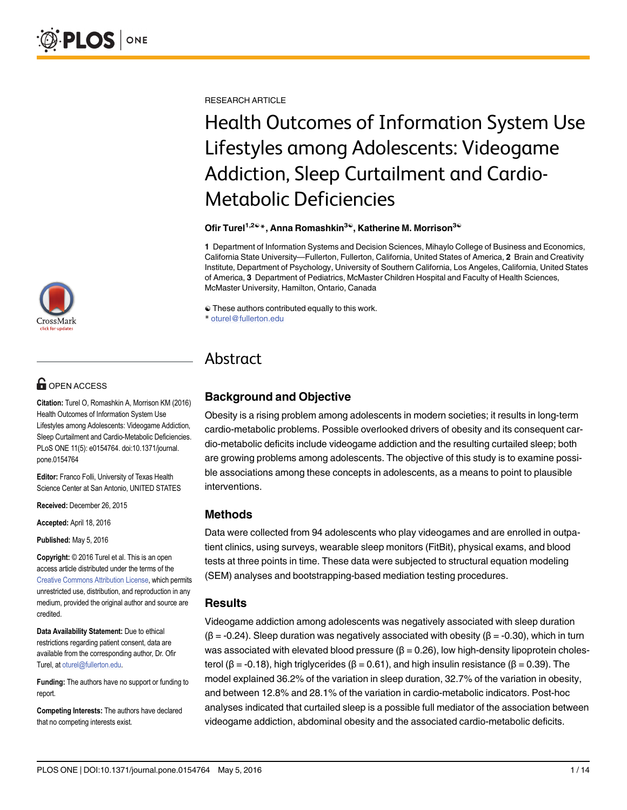

## **OPEN ACCESS**

Citation: Turel O, Romashkin A, Morrison KM (2016) Health Outcomes of Information System Use Lifestyles among Adolescents: Videogame Addiction, Sleep Curtailment and Cardio-Metabolic Deficiencies. PLoS ONE 11(5): e0154764. doi:10.1371/journal. pone.0154764

Editor: Franco Folli, University of Texas Health Science Center at San Antonio, UNITED STATES

Received: December 26, 2015

Accepted: April 18, 2016

Published: May 5, 2016

Copyright: © 2016 Turel et al. This is an open access article distributed under the terms of the [Creative Commons Attribution License,](http://creativecommons.org/licenses/by/4.0/) which permits unrestricted use, distribution, and reproduction in any medium, provided the original author and source are credited.

Data Availability Statement: Due to ethical restrictions regarding patient consent, data are available from the corresponding author, Dr. Ofir Turel, at oturel@fullerton.edu.

Funding: The authors have no support or funding to report.

Competing Interests: The authors have declared that no competing interests exist.

RESEARCH ARTICLE

# Health Outcomes of Information System Use Lifestyles among Adolescents: Videogame Addiction, Sleep Curtailment and Cardio-Metabolic Deficiencies

Ofir Turel<sup>1,2©</sup> \*, Anna Romashkin<sup>3©</sup>, Katherine M. Morrison<sup>3©</sup>

1 Department of Information Systems and Decision Sciences, Mihaylo College of Business and Economics, California State University—Fullerton, Fullerton, California, United States of America, 2 Brain and Creativity Institute, Department of Psychology, University of Southern California, Los Angeles, California, United States of America, 3 Department of Pediatrics, McMaster Children Hospital and Faculty of Health Sciences, McMaster University, Hamilton, Ontario, Canada

☯ These authors contributed equally to this work.

\* oturel@fullerton.edu

## Abstract

## Background and Objective

Obesity is a rising problem among adolescents in modern societies; it results in long-term cardio-metabolic problems. Possible overlooked drivers of obesity and its consequent cardio-metabolic deficits include videogame addiction and the resulting curtailed sleep; both are growing problems among adolescents. The objective of this study is to examine possible associations among these concepts in adolescents, as a means to point to plausible interventions.

## Methods

Data were collected from 94 adolescents who play videogames and are enrolled in outpatient clinics, using surveys, wearable sleep monitors (FitBit), physical exams, and blood tests at three points in time. These data were subjected to structural equation modeling (SEM) analyses and bootstrapping-based mediation testing procedures.

## Results

Videogame addiction among adolescents was negatively associated with sleep duration  $(β = -0.24)$ . Sleep duration was negatively associated with obesity  $(β = -0.30)$ , which in turn was associated with elevated blood pressure  $(\beta = 0.26)$ , low high-density lipoprotein cholesterol (β = -0.18), high triglycerides (β = 0.61), and high insulin resistance (β = 0.39). The model explained 36.2% of the variation in sleep duration, 32.7% of the variation in obesity, and between 12.8% and 28.1% of the variation in cardio-metabolic indicators. Post-hoc analyses indicated that curtailed sleep is a possible full mediator of the association between videogame addiction, abdominal obesity and the associated cardio-metabolic deficits.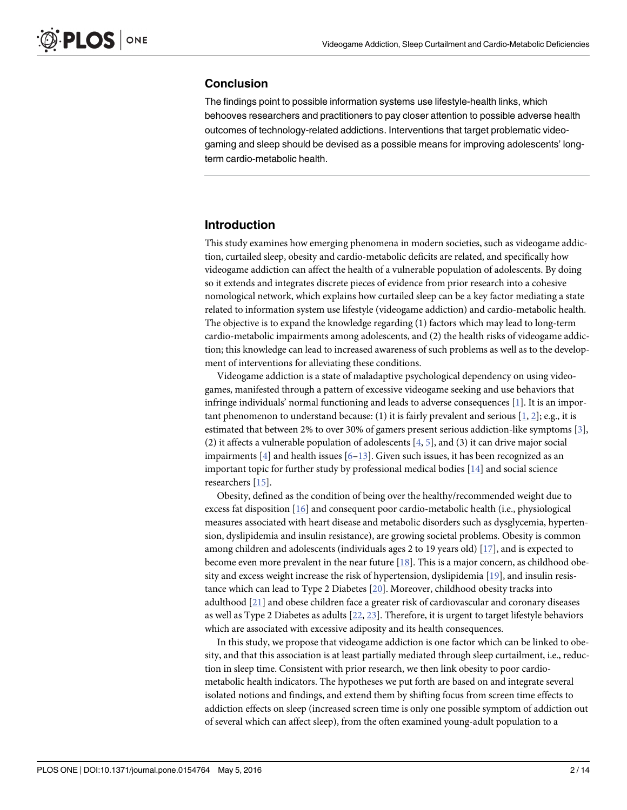## <span id="page-1-0"></span>Conclusion

The findings point to possible information systems use lifestyle-health links, which behooves researchers and practitioners to pay closer attention to possible adverse health outcomes of technology-related addictions. Interventions that target problematic videogaming and sleep should be devised as a possible means for improving adolescents' longterm cardio-metabolic health.

## Introduction

This study examines how emerging phenomena in modern societies, such as videogame addiction, curtailed sleep, obesity and cardio-metabolic deficits are related, and specifically how videogame addiction can affect the health of a vulnerable population of adolescents. By doing so it extends and integrates discrete pieces of evidence from prior research into a cohesive nomological network, which explains how curtailed sleep can be a key factor mediating a state related to information system use lifestyle (videogame addiction) and cardio-metabolic health. The objective is to expand the knowledge regarding (1) factors which may lead to long-term cardio-metabolic impairments among adolescents, and (2) the health risks of videogame addiction; this knowledge can lead to increased awareness of such problems as well as to the development of interventions for alleviating these conditions.

Videogame addiction is a state of maladaptive psychological dependency on using videogames, manifested through a pattern of excessive videogame seeking and use behaviors that infringe individuals' normal functioning and leads to adverse consequences  $[1]$  $[1]$ . It is an impor-tant phenomenon to understand because: ([1](#page-9-0)) it is fairly prevalent and serious  $[1, 2]$  $[1, 2]$ ; e.g., it is estimated that between 2% to over 30% of gamers present serious addiction-like symptoms [\[3](#page-9-0)], (2) it affects a vulnerable population of adolescents  $[4, 5]$  $[4, 5]$  $[4, 5]$  $[4, 5]$ , and (3) it can drive major social impairments  $[4]$  $[4]$  $[4]$  and health issues  $[6-13]$  $[6-13]$  $[6-13]$  $[6-13]$  $[6-13]$ . Given such issues, it has been recognized as an important topic for further study by professional medical bodies [\[14](#page-10-0)] and social science researchers [\[15\]](#page-10-0).

Obesity, defined as the condition of being over the healthy/recommended weight due to excess fat disposition [[16](#page-10-0)] and consequent poor cardio-metabolic health (i.e., physiological measures associated with heart disease and metabolic disorders such as dysglycemia, hypertension, dyslipidemia and insulin resistance), are growing societal problems. Obesity is common among children and adolescents (individuals ages 2 to 19 years old) [[17](#page-10-0)], and is expected to become even more prevalent in the near future  $[18]$  $[18]$ . This is a major concern, as childhood obesity and excess weight increase the risk of hypertension, dyslipidemia [\[19\]](#page-10-0), and insulin resistance which can lead to Type 2 Diabetes [[20](#page-10-0)]. Moreover, childhood obesity tracks into adulthood [[21](#page-10-0)] and obese children face a greater risk of cardiovascular and coronary diseases as well as Type 2 Diabetes as adults [\[22,](#page-10-0) [23\]](#page-10-0). Therefore, it is urgent to target lifestyle behaviors which are associated with excessive adiposity and its health consequences.

In this study, we propose that videogame addiction is one factor which can be linked to obesity, and that this association is at least partially mediated through sleep curtailment, i.e., reduction in sleep time. Consistent with prior research, we then link obesity to poor cardiometabolic health indicators. The hypotheses we put forth are based on and integrate several isolated notions and findings, and extend them by shifting focus from screen time effects to addiction effects on sleep (increased screen time is only one possible symptom of addiction out of several which can affect sleep), from the often examined young-adult population to a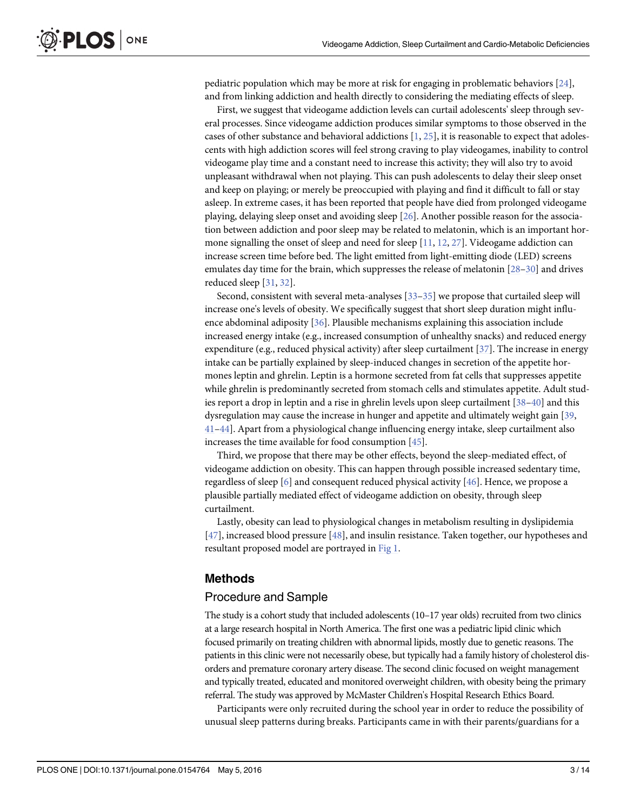<span id="page-2-0"></span>pediatric population which may be more at risk for engaging in problematic behaviors [[24](#page-10-0)], and from linking addiction and health directly to considering the mediating effects of sleep.

First, we suggest that videogame addiction levels can curtail adolescents' sleep through several processes. Since videogame addiction produces similar symptoms to those observed in the cases of other substance and behavioral addictions [\[1](#page-9-0), [25](#page-10-0)], it is reasonable to expect that adolescents with high addiction scores will feel strong craving to play videogames, inability to control videogame play time and a constant need to increase this activity; they will also try to avoid unpleasant withdrawal when not playing. This can push adolescents to delay their sleep onset and keep on playing; or merely be preoccupied with playing and find it difficult to fall or stay asleep. In extreme cases, it has been reported that people have died from prolonged videogame playing, delaying sleep onset and avoiding sleep [[26](#page-11-0)]. Another possible reason for the association between addiction and poor sleep may be related to melatonin, which is an important hormone signalling the onset of sleep and need for sleep [\[11,](#page-10-0) [12,](#page-10-0) [27\]](#page-11-0). Videogame addiction can increase screen time before bed. The light emitted from light-emitting diode (LED) screens emulates day time for the brain, which suppresses the release of melatonin  $[28–30]$  $[28–30]$  $[28–30]$  $[28–30]$  $[28–30]$  and drives reduced sleep [\[31,](#page-11-0) [32\]](#page-11-0).

Second, consistent with several meta-analyses  $[33–35]$  $[33–35]$  $[33–35]$  we propose that curtailed sleep will increase one's levels of obesity. We specifically suggest that short sleep duration might influence abdominal adiposity [[36\]](#page-11-0). Plausible mechanisms explaining this association include increased energy intake (e.g., increased consumption of unhealthy snacks) and reduced energy expenditure (e.g., reduced physical activity) after sleep curtailment [\[37\]](#page-11-0). The increase in energy intake can be partially explained by sleep-induced changes in secretion of the appetite hormones leptin and ghrelin. Leptin is a hormone secreted from fat cells that suppresses appetite while ghrelin is predominantly secreted from stomach cells and stimulates appetite. Adult studies report a drop in leptin and a rise in ghrelin levels upon sleep curtailment [\[38](#page-11-0)–[40](#page-11-0)] and this dysregulation may cause the increase in hunger and appetite and ultimately weight gain [\[39,](#page-11-0) [41](#page-11-0)–[44](#page-11-0)]. Apart from a physiological change influencing energy intake, sleep curtailment also increases the time available for food consumption [\[45\]](#page-11-0).

Third, we propose that there may be other effects, beyond the sleep-mediated effect, of videogame addiction on obesity. This can happen through possible increased sedentary time, regardless of sleep  $[6]$  $[6]$  and consequent reduced physical activity  $[46]$  $[46]$  $[46]$ . Hence, we propose a plausible partially mediated effect of videogame addiction on obesity, through sleep curtailment.

Lastly, obesity can lead to physiological changes in metabolism resulting in dyslipidemia [\[47](#page-11-0)], increased blood pressure [\[48](#page-12-0)], and insulin resistance. Taken together, our hypotheses and resultant proposed model are portrayed in [Fig 1.](#page-3-0)

## Methods

## Procedure and Sample

The study is a cohort study that included adolescents (10–17 year olds) recruited from two clinics at a large research hospital in North America. The first one was a pediatric lipid clinic which focused primarily on treating children with abnormal lipids, mostly due to genetic reasons. The patients in this clinic were not necessarily obese, but typically had a family history of cholesterol disorders and premature coronary artery disease. The second clinic focused on weight management and typically treated, educated and monitored overweight children, with obesity being the primary referral. The study was approved by McMaster Children's Hospital Research Ethics Board.

Participants were only recruited during the school year in order to reduce the possibility of unusual sleep patterns during breaks. Participants came in with their parents/guardians for a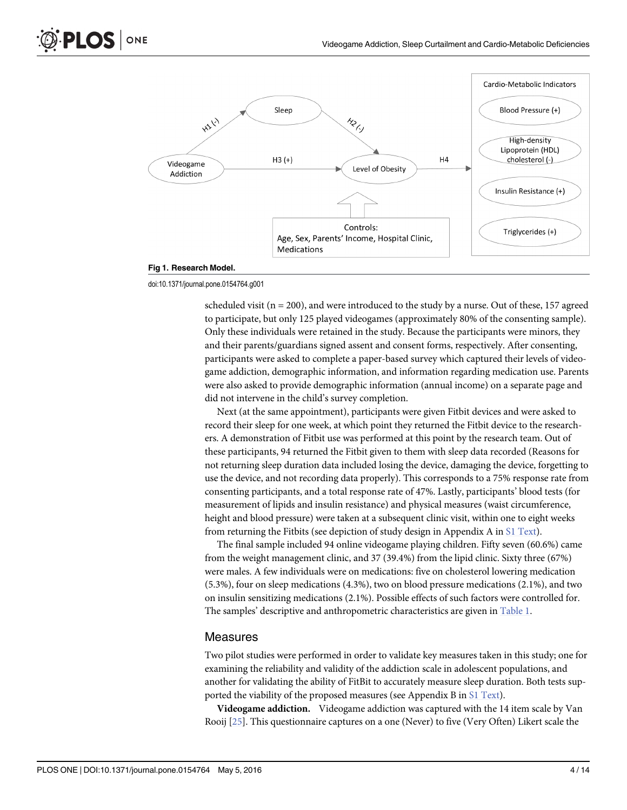<span id="page-3-0"></span>

#### [Fig 1.](#page-2-0) Research Model.

doi:10.1371/journal.pone.0154764.g001

scheduled visit ( $n = 200$ ), and were introduced to the study by a nurse. Out of these, 157 agreed to participate, but only 125 played videogames (approximately 80% of the consenting sample). Only these individuals were retained in the study. Because the participants were minors, they and their parents/guardians signed assent and consent forms, respectively. After consenting, participants were asked to complete a paper-based survey which captured their levels of videogame addiction, demographic information, and information regarding medication use. Parents were also asked to provide demographic information (annual income) on a separate page and did not intervene in the child's survey completion.

Next (at the same appointment), participants were given Fitbit devices and were asked to record their sleep for one week, at which point they returned the Fitbit device to the researchers. A demonstration of Fitbit use was performed at this point by the research team. Out of these participants, 94 returned the Fitbit given to them with sleep data recorded (Reasons for not returning sleep duration data included losing the device, damaging the device, forgetting to use the device, and not recording data properly). This corresponds to a 75% response rate from consenting participants, and a total response rate of 47%. Lastly, participants' blood tests (for measurement of lipids and insulin resistance) and physical measures (waist circumference, height and blood pressure) were taken at a subsequent clinic visit, within one to eight weeks from returning the Fitbits (see depiction of study design in Appendix A in [S1 Text\)](#page-9-0).

The final sample included 94 online videogame playing children. Fifty seven (60.6%) came from the weight management clinic, and 37 (39.4%) from the lipid clinic. Sixty three (67%) were males. A few individuals were on medications: five on cholesterol lowering medication (5.3%), four on sleep medications (4.3%), two on blood pressure medications (2.1%), and two on insulin sensitizing medications (2.1%). Possible effects of such factors were controlled for. The samples' descriptive and anthropometric characteristics are given in [Table 1.](#page-4-0)

## Measures

Two pilot studies were performed in order to validate key measures taken in this study; one for examining the reliability and validity of the addiction scale in adolescent populations, and another for validating the ability of FitBit to accurately measure sleep duration. Both tests sup-ported the viability of the proposed measures (see Appendix B in [S1 Text\)](#page-9-0).

Videogame addiction. Videogame addiction was captured with the 14 item scale by Van Rooij [[25\]](#page-10-0). This questionnaire captures on a one (Never) to five (Very Often) Likert scale the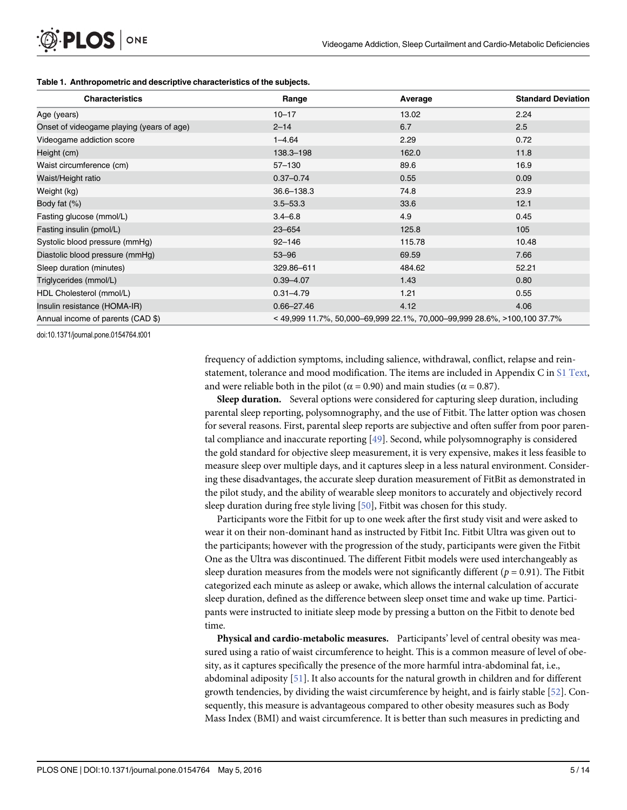#### <span id="page-4-0"></span>[Table 1.](#page-3-0) Anthropometric and descriptive characteristics of the subjects.

| <b>Characteristics</b>                    | Range          | Average                                                                  | <b>Standard Deviation</b> |
|-------------------------------------------|----------------|--------------------------------------------------------------------------|---------------------------|
| Age (years)                               | $10 - 17$      | 13.02                                                                    | 2.24                      |
| Onset of videogame playing (years of age) | $2 - 14$       | 6.7                                                                      | 2.5                       |
| Videogame addiction score                 | $1 - 4.64$     | 2.29                                                                     | 0.72                      |
| Height (cm)                               | 138.3-198      | 162.0                                                                    | 11.8                      |
| Waist circumference (cm)                  | $57 - 130$     | 89.6                                                                     | 16.9                      |
| Waist/Height ratio                        | $0.37 - 0.74$  | 0.55                                                                     | 0.09                      |
| Weight (kg)                               | 36.6-138.3     | 74.8                                                                     | 23.9                      |
| Body fat (%)                              | $3.5 - 53.3$   | 33.6                                                                     | 12.1                      |
| Fasting glucose (mmol/L)                  | $3.4 - 6.8$    | 4.9                                                                      | 0.45                      |
| Fasting insulin (pmol/L)                  | $23 - 654$     | 125.8                                                                    | 105                       |
| Systolic blood pressure (mmHg)            | $92 - 146$     | 115.78                                                                   | 10.48                     |
| Diastolic blood pressure (mmHg)           | $53 - 96$      | 69.59                                                                    | 7.66                      |
| Sleep duration (minutes)                  | 329.86-611     | 484.62                                                                   | 52.21                     |
| Triglycerides (mmol/L)                    | $0.39 - 4.07$  | 1.43                                                                     | 0.80                      |
| HDL Cholesterol (mmol/L)                  | $0.31 - 4.79$  | 1.21                                                                     | 0.55                      |
| Insulin resistance (HOMA-IR)              | $0.66 - 27.46$ | 4.12                                                                     | 4.06                      |
| Annual income of parents (CAD \$)         |                | < 49,999 11.7%, 50,000-69,999 22.1%, 70,000-99,999 28.6%, >100,100 37.7% |                           |

doi:10.1371/journal.pone.0154764.t001

frequency of addiction symptoms, including salience, withdrawal, conflict, relapse and reinstatement, tolerance and mood modification. The items are included in Appendix C in [S1 Text,](#page-9-0) and were reliable both in the pilot ( $\alpha$  = 0.90) and main studies ( $\alpha$  = 0.87).

Sleep duration. Several options were considered for capturing sleep duration, including parental sleep reporting, polysomnography, and the use of Fitbit. The latter option was chosen for several reasons. First, parental sleep reports are subjective and often suffer from poor parental compliance and inaccurate reporting [[49](#page-12-0)]. Second, while polysomnography is considered the gold standard for objective sleep measurement, it is very expensive, makes it less feasible to measure sleep over multiple days, and it captures sleep in a less natural environment. Considering these disadvantages, the accurate sleep duration measurement of FitBit as demonstrated in the pilot study, and the ability of wearable sleep monitors to accurately and objectively record sleep duration during free style living [[50](#page-12-0)], Fitbit was chosen for this study.

Participants wore the Fitbit for up to one week after the first study visit and were asked to wear it on their non-dominant hand as instructed by Fitbit Inc. Fitbit Ultra was given out to the participants; however with the progression of the study, participants were given the Fitbit One as the Ultra was discontinued. The different Fitbit models were used interchangeably as sleep duration measures from the models were not significantly different ( $p = 0.91$ ). The Fitbit categorized each minute as asleep or awake, which allows the internal calculation of accurate sleep duration, defined as the difference between sleep onset time and wake up time. Participants were instructed to initiate sleep mode by pressing a button on the Fitbit to denote bed time.

Physical and cardio-metabolic measures. Participants' level of central obesity was measured using a ratio of waist circumference to height. This is a common measure of level of obesity, as it captures specifically the presence of the more harmful intra-abdominal fat, i.e., abdominal adiposity [[51](#page-12-0)]. It also accounts for the natural growth in children and for different growth tendencies, by dividing the waist circumference by height, and is fairly stable [\[52\]](#page-12-0). Consequently, this measure is advantageous compared to other obesity measures such as Body Mass Index (BMI) and waist circumference. It is better than such measures in predicting and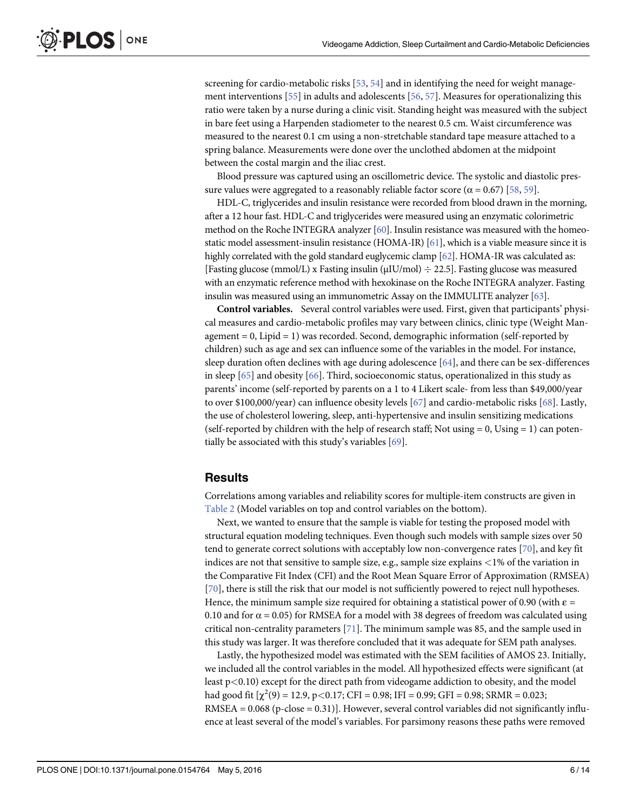screening for cardio-metabolic risks  $[53, 54]$  $[53, 54]$  $[53, 54]$  $[53, 54]$  $[53, 54]$  and in identifying the need for weight management interventions [\[55\]](#page-12-0) in adults and adolescents [\[56,](#page-12-0) [57\]](#page-12-0). Measures for operationalizing this ratio were taken by a nurse during a clinic visit. Standing height was measured with the subject in bare feet using a Harpenden stadiometer to the nearest 0.5 cm. Waist circumference was measured to the nearest 0.1 cm using a non-stretchable standard tape measure attached to a spring balance. Measurements were done over the unclothed abdomen at the midpoint between the costal margin and the iliac crest.

Blood pressure was captured using an oscillometric device. The systolic and diastolic pressure values were aggregated to a reasonably reliable factor score ( $\alpha$  = 0.67) [[58](#page-12-0), [59](#page-12-0)].

HDL-C, triglycerides and insulin resistance were recorded from blood drawn in the morning, after a 12 hour fast. HDL-C and triglycerides were measured using an enzymatic colorimetric method on the Roche INTEGRA analyzer [\[60](#page-12-0)]. Insulin resistance was measured with the homeostatic model assessment-insulin resistance (HOMA-IR) [[61](#page-12-0)], which is a viable measure since it is highly correlated with the gold standard euglycemic clamp [\[62](#page-12-0)]. HOMA-IR was calculated as: [Fasting glucose (mmol/L) x Fasting insulin ( $\mu$ IU/mol)  $\div$  22.5]. Fasting glucose was measured with an enzymatic reference method with hexokinase on the Roche INTEGRA analyzer. Fasting insulin was measured using an immunometric Assay on the IMMULITE analyzer [[63](#page-12-0)].

Control variables. Several control variables were used. First, given that participants' physical measures and cardio-metabolic profiles may vary between clinics, clinic type (Weight Management  $= 0$ , Lipid  $= 1$ ) was recorded. Second, demographic information (self-reported by children) such as age and sex can influence some of the variables in the model. For instance, sleep duration often declines with age during adolescence  $[64]$ , and there can be sex-differences in sleep [[65](#page-12-0)] and obesity [[66](#page-12-0)]. Third, socioeconomic status, operationalized in this study as parents' income (self-reported by parents on a 1 to 4 Likert scale- from less than \$49,000/year to over \$100,000/year) can influence obesity levels [[67](#page-12-0)] and cardio-metabolic risks [[68\]](#page-12-0). Lastly, the use of cholesterol lowering, sleep, anti-hypertensive and insulin sensitizing medications (self-reported by children with the help of research staff; Not using  $= 0$ , Using  $= 1$ ) can potentially be associated with this study's variables  $[69]$  $[69]$  $[69]$ .

## **Results**

Correlations among variables and reliability scores for multiple-item constructs are given in [Table 2](#page-6-0) (Model variables on top and control variables on the bottom).

Next, we wanted to ensure that the sample is viable for testing the proposed model with structural equation modeling techniques. Even though such models with sample sizes over 50 tend to generate correct solutions with acceptably low non-convergence rates [\[70\]](#page-13-0), and key fit indices are not that sensitive to sample size, e.g., sample size explains <1% of the variation in the Comparative Fit Index (CFI) and the Root Mean Square Error of Approximation (RMSEA) [\[70](#page-13-0)], there is still the risk that our model is not sufficiently powered to reject null hypotheses. Hence, the minimum sample size required for obtaining a statistical power of 0.90 (with  $\varepsilon$  = 0.10 and for  $\alpha$  = 0.05) for RMSEA for a model with 38 degrees of freedom was calculated using critical non-centrality parameters [[71](#page-13-0)]. The minimum sample was 85, and the sample used in this study was larger. It was therefore concluded that it was adequate for SEM path analyses.

Lastly, the hypothesized model was estimated with the SEM facilities of AMOS 23. Initially, we included all the control variables in the model. All hypothesized effects were significant (at least p<0.10) except for the direct path from videogame addiction to obesity, and the model had good fit  $[\chi^2(9) = 12.9, p<0.17; CFI = 0.98; IFI = 0.99; GFI = 0.98; SRMR = 0.023;$  $RMSEA = 0.068$  (p-close = 0.31)]. However, several control variables did not significantly influence at least several of the model's variables. For parsimony reasons these paths were removed

<span id="page-5-0"></span>PLOS ONE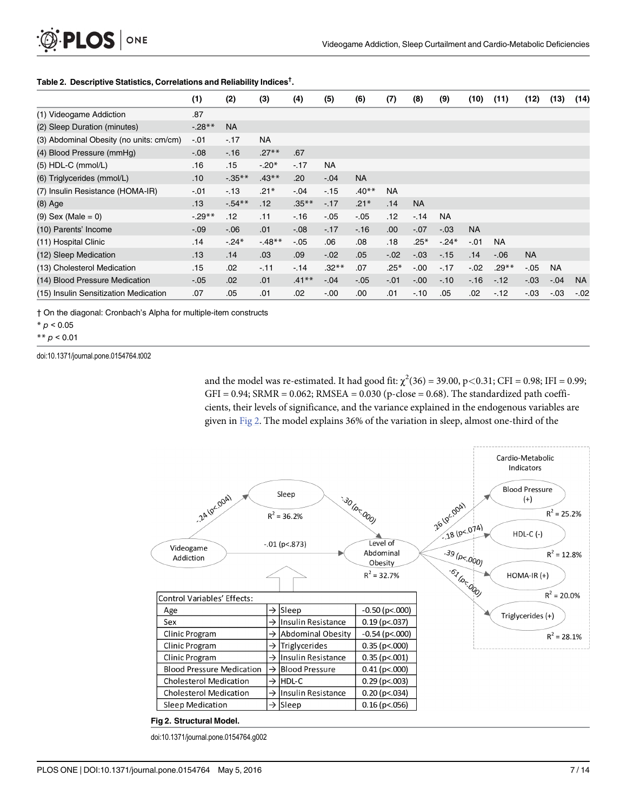|                                         | (1)       | (2)       | (3)       | (4)      | (5)       | (6)       | (7)       | (8)       | (9)       | (10)      | (11)      | (12)      | (13)      | (14)      |
|-----------------------------------------|-----------|-----------|-----------|----------|-----------|-----------|-----------|-----------|-----------|-----------|-----------|-----------|-----------|-----------|
| (1) Videogame Addiction                 | .87       |           |           |          |           |           |           |           |           |           |           |           |           |           |
| (2) Sleep Duration (minutes)            | $-28**$   | <b>NA</b> |           |          |           |           |           |           |           |           |           |           |           |           |
| (3) Abdominal Obesity (no units: cm/cm) | $-0.01$   | $-17$     | <b>NA</b> |          |           |           |           |           |           |           |           |           |           |           |
| (4) Blood Pressure (mmHg)               | $-0.08$   | $-16$     | $.27**$   | .67      |           |           |           |           |           |           |           |           |           |           |
| (5) HDL-C (mmol/L)                      | .16       | .15       | $-.20*$   | $-.17$   | <b>NA</b> |           |           |           |           |           |           |           |           |           |
| (6) Triglycerides (mmol/L)              | .10       | $-0.35**$ | $.43**$   | .20      | $-.04$    | <b>NA</b> |           |           |           |           |           |           |           |           |
| (7) Insulin Resistance (HOMA-IR)        | $-.01$    | $-13$     | $.21*$    | $-0.04$  | $-15$     | $.40**$   | <b>NA</b> |           |           |           |           |           |           |           |
| $(8)$ Age                               | .13       | $-0.54**$ | .12       | $.35***$ | $-17$     | $.21*$    | .14       | <b>NA</b> |           |           |           |           |           |           |
| $(9)$ Sex (Male = 0)                    | $-0.29**$ | .12       | .11       | $-16$    | $-.05$    | $-0.05$   | .12       | $-14$     | <b>NA</b> |           |           |           |           |           |
| (10) Parents' Income                    | $-.09$    | $-0.06$   | .01       | $-0.08$  | $-17$     | $-16$     | .00       | $-.07$    | $-.03$    | <b>NA</b> |           |           |           |           |
| (11) Hospital Clinic                    | .14       | $-24*$    | $-48**$   | $-0.05$  | .06       | .08       | .18       | $.25*$    | $-24*$    | $-.01$    | <b>NA</b> |           |           |           |
| (12) Sleep Medication                   | .13       | .14       | .03       | .09      | $-.02$    | .05       | $-.02$    | $-.03$    | $-15$     | .14       | $-0.06$   | <b>NA</b> |           |           |
| (13) Cholesterol Medication             | .15       | .02       | $-11$     | $-14$    | $.32**$   | .07       | $.25*$    | $-.00$    | $-17$     | $-.02$    | .29**     | $-.05$    | <b>NA</b> |           |
| (14) Blood Pressure Medication          | $-.05$    | .02       | .01       | $.41***$ | $-.04$    | $-.05$    | $-.01$    | $-.00$    | $-10$     | $-16$     | $-12$     | $-.03$    | $-.04$    | <b>NA</b> |
| (15) Insulin Sensitization Medication   | .07       | .05       | .01       | .02      | $-.00$    | .00       | .01       | $-10$     | .05       | .02       | $-12$     | $-03$     | $-.03$    | $-0.02$   |

#### <span id="page-6-0"></span>[Table 2.](#page-5-0) Descriptive Statistics, Correlations and Reliability Indices $^\dagger$ .

† On the diagonal: Cronbach's Alpha for multiple-item constructs

 $* p < 0.05$ 

\*\*  $p < 0.01$ 

doi:10.1371/journal.pone.0154764.t002

and the model was re-estimated. It had good fit:  $\chi^2(36)$  = 39.00, p<0.31; CFI = 0.98; IFI = 0.99;  $GFI = 0.94$ ; SRMR = 0.062; RMSEA = 0.030 (p-close = 0.68). The standardized path coefficients, their levels of significance, and the variance explained in the endogenous variables are given in  $Fig 2$ . The model explains 36% of the variation in sleep, almost one-third of the



doi:10.1371/journal.pone.0154764.g002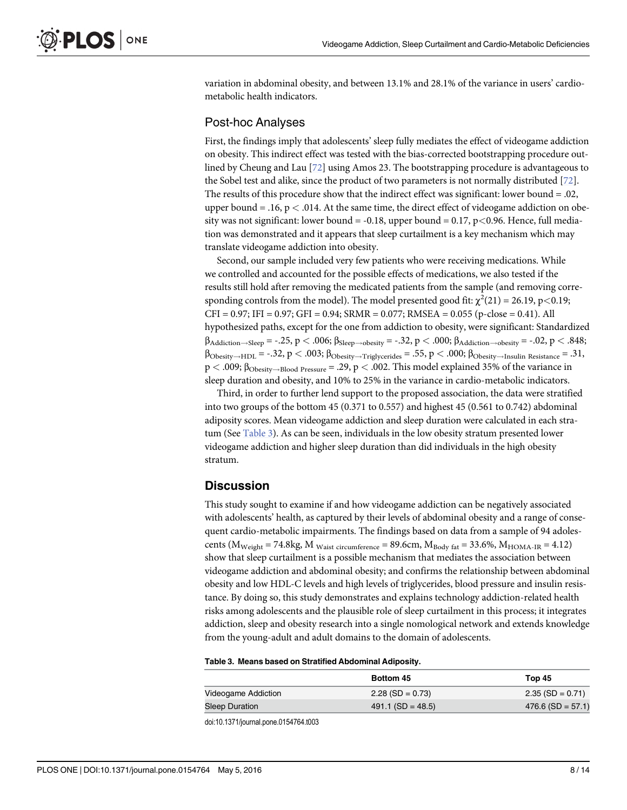<span id="page-7-0"></span>variation in abdominal obesity, and between 13.1% and 28.1% of the variance in users' cardiometabolic health indicators.

## Post-hoc Analyses

First, the findings imply that adolescents' sleep fully mediates the effect of videogame addiction on obesity. This indirect effect was tested with the bias-corrected bootstrapping procedure outlined by Cheung and Lau [\[72\]](#page-13-0) using Amos 23. The bootstrapping procedure is advantageous to the Sobel test and alike, since the product of two parameters is not normally distributed [\[72\]](#page-13-0). The results of this procedure show that the indirect effect was significant: lower bound = .02, upper bound  $=$  .16, p  $<$  .014. At the same time, the direct effect of videogame addiction on obesity was not significant: lower bound =  $-0.18$ , upper bound =  $0.17$ , p $< 0.96$ . Hence, full mediation was demonstrated and it appears that sleep curtailment is a key mechanism which may translate videogame addiction into obesity.

Second, our sample included very few patients who were receiving medications. While we controlled and accounted for the possible effects of medications, we also tested if the results still hold after removing the medicated patients from the sample (and removing corresponding controls from the model). The model presented good fit:  $\chi^2(21) = 26.19$ , p<0.19; CFI = 0.97; IFI = 0.97; GFI = 0.94; SRMR = 0.077; RMSEA = 0.055 (p-close = 0.41). All hypothesized paths, except for the one from addiction to obesity, were significant: Standardized  $\beta_{Addiction \rightarrow Sleep} = -.25, p < .006; \beta_{sleep \rightarrow obesity} = -.32, p < .000; \beta_{Addiction \rightarrow obesity} = -.02, p < .848;$  $\beta_{\text{Observ}\rightarrow\text{HDL}}$  = -.32, p < .003;  $\beta_{\text{Observ}\rightarrow\text{Triglycerides}}$  = .55, p < .000;  $\beta_{\text{Observ}\rightarrow\text{Insulin Resistance}}$  = .31,  $p < .009$ ;  $\beta_{\text{Observ}\rightarrow\text{Blood Pressure}} = .29$ ,  $p < .002$ . This model explained 35% of the variance in sleep duration and obesity, and 10% to 25% in the variance in cardio-metabolic indicators.

Third, in order to further lend support to the proposed association, the data were stratified into two groups of the bottom 45 (0.371 to 0.557) and highest 45 (0.561 to 0.742) abdominal adiposity scores. Mean videogame addiction and sleep duration were calculated in each stratum (See Table 3). As can be seen, individuals in the low obesity stratum presented lower videogame addiction and higher sleep duration than did individuals in the high obesity stratum.

## **Discussion**

This study sought to examine if and how videogame addiction can be negatively associated with adolescents' health, as captured by their levels of abdominal obesity and a range of consequent cardio-metabolic impairments. The findings based on data from a sample of 94 adolescents ( $M_{Weight} = 74.8$ kg, M <sub>Waist circumference</sub> = 89.6cm,  $M_{Body\ fat} = 33.6$ %,  $M_{HOMA-IR} = 4.12$ ) show that sleep curtailment is a possible mechanism that mediates the association between videogame addiction and abdominal obesity; and confirms the relationship between abdominal obesity and low HDL-C levels and high levels of triglycerides, blood pressure and insulin resistance. By doing so, this study demonstrates and explains technology addiction-related health risks among adolescents and the plausible role of sleep curtailment in this process; it integrates addiction, sleep and obesity research into a single nomological network and extends knowledge from the young-adult and adult domains to the domain of adolescents.

#### Table 3. Means based on Stratified Abdominal Adiposity.

|                     | Bottom 45           | Top 45              |
|---------------------|---------------------|---------------------|
| Videogame Addiction | $2.28$ (SD = 0.73)  | $2.35(SD = 0.71)$   |
| Sleep Duration      | $491.1$ (SD = 48.5) | $476.6$ (SD = 57.1) |
|                     |                     |                     |

doi:10.1371/journal.pone.0154764.t003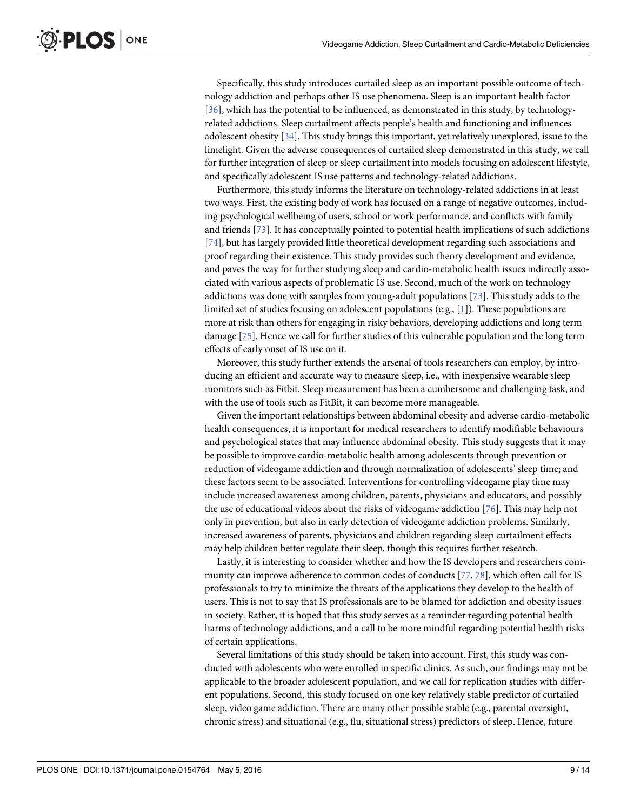<span id="page-8-0"></span>Specifically, this study introduces curtailed sleep as an important possible outcome of technology addiction and perhaps other IS use phenomena. Sleep is an important health factor [\[36](#page-11-0)], which has the potential to be influenced, as demonstrated in this study, by technologyrelated addictions. Sleep curtailment affects people's health and functioning and influences adolescent obesity [[34](#page-11-0)]. This study brings this important, yet relatively unexplored, issue to the limelight. Given the adverse consequences of curtailed sleep demonstrated in this study, we call for further integration of sleep or sleep curtailment into models focusing on adolescent lifestyle, and specifically adolescent IS use patterns and technology-related addictions.

Furthermore, this study informs the literature on technology-related addictions in at least two ways. First, the existing body of work has focused on a range of negative outcomes, including psychological wellbeing of users, school or work performance, and conflicts with family and friends [\[73](#page-13-0)]. It has conceptually pointed to potential health implications of such addictions [\[74](#page-13-0)], but has largely provided little theoretical development regarding such associations and proof regarding their existence. This study provides such theory development and evidence, and paves the way for further studying sleep and cardio-metabolic health issues indirectly associated with various aspects of problematic IS use. Second, much of the work on technology addictions was done with samples from young-adult populations [[73\]](#page-13-0). This study adds to the limited set of studies focusing on adolescent populations (e.g.,  $[1]$  $[1]$  $[1]$ ). These populations are more at risk than others for engaging in risky behaviors, developing addictions and long term damage [[75](#page-13-0)]. Hence we call for further studies of this vulnerable population and the long term effects of early onset of IS use on it.

Moreover, this study further extends the arsenal of tools researchers can employ, by introducing an efficient and accurate way to measure sleep, i.e., with inexpensive wearable sleep monitors such as Fitbit. Sleep measurement has been a cumbersome and challenging task, and with the use of tools such as FitBit, it can become more manageable.

Given the important relationships between abdominal obesity and adverse cardio-metabolic health consequences, it is important for medical researchers to identify modifiable behaviours and psychological states that may influence abdominal obesity. This study suggests that it may be possible to improve cardio-metabolic health among adolescents through prevention or reduction of videogame addiction and through normalization of adolescents' sleep time; and these factors seem to be associated. Interventions for controlling videogame play time may include increased awareness among children, parents, physicians and educators, and possibly the use of educational videos about the risks of videogame addiction [\[76](#page-13-0)]. This may help not only in prevention, but also in early detection of videogame addiction problems. Similarly, increased awareness of parents, physicians and children regarding sleep curtailment effects may help children better regulate their sleep, though this requires further research.

Lastly, it is interesting to consider whether and how the IS developers and researchers community can improve adherence to common codes of conducts [\[77,](#page-13-0) [78\]](#page-13-0), which often call for IS professionals to try to minimize the threats of the applications they develop to the health of users. This is not to say that IS professionals are to be blamed for addiction and obesity issues in society. Rather, it is hoped that this study serves as a reminder regarding potential health harms of technology addictions, and a call to be more mindful regarding potential health risks of certain applications.

Several limitations of this study should be taken into account. First, this study was conducted with adolescents who were enrolled in specific clinics. As such, our findings may not be applicable to the broader adolescent population, and we call for replication studies with different populations. Second, this study focused on one key relatively stable predictor of curtailed sleep, video game addiction. There are many other possible stable (e.g., parental oversight, chronic stress) and situational (e.g., flu, situational stress) predictors of sleep. Hence, future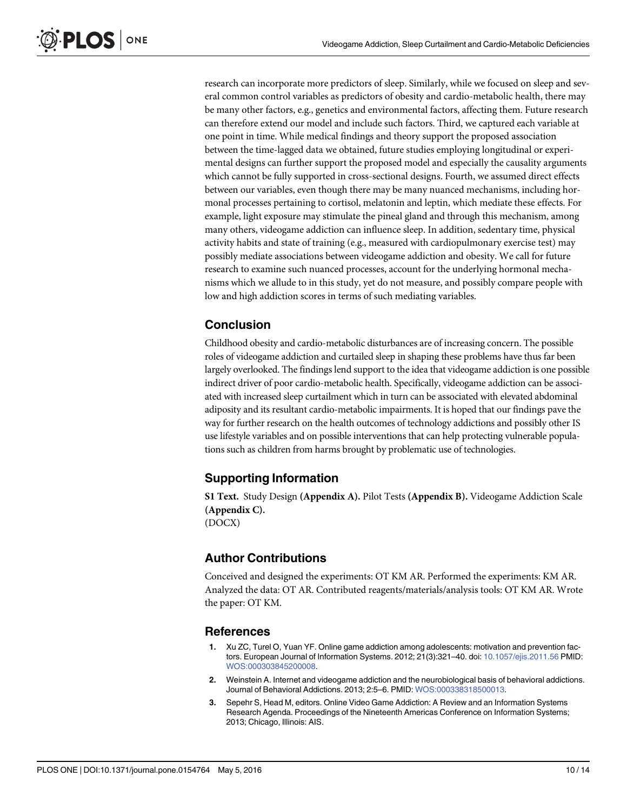<span id="page-9-0"></span>research can incorporate more predictors of sleep. Similarly, while we focused on sleep and several common control variables as predictors of obesity and cardio-metabolic health, there may be many other factors, e.g., genetics and environmental factors, affecting them. Future research can therefore extend our model and include such factors. Third, we captured each variable at one point in time. While medical findings and theory support the proposed association between the time-lagged data we obtained, future studies employing longitudinal or experimental designs can further support the proposed model and especially the causality arguments which cannot be fully supported in cross-sectional designs. Fourth, we assumed direct effects between our variables, even though there may be many nuanced mechanisms, including hormonal processes pertaining to cortisol, melatonin and leptin, which mediate these effects. For example, light exposure may stimulate the pineal gland and through this mechanism, among many others, videogame addiction can influence sleep. In addition, sedentary time, physical activity habits and state of training (e.g., measured with cardiopulmonary exercise test) may possibly mediate associations between videogame addiction and obesity. We call for future research to examine such nuanced processes, account for the underlying hormonal mechanisms which we allude to in this study, yet do not measure, and possibly compare people with low and high addiction scores in terms of such mediating variables.

## Conclusion

Childhood obesity and cardio-metabolic disturbances are of increasing concern. The possible roles of videogame addiction and curtailed sleep in shaping these problems have thus far been largely overlooked. The findings lend support to the idea that videogame addiction is one possible indirect driver of poor cardio-metabolic health. Specifically, videogame addiction can be associated with increased sleep curtailment which in turn can be associated with elevated abdominal adiposity and its resultant cardio-metabolic impairments. It is hoped that our findings pave the way for further research on the health outcomes of technology addictions and possibly other IS use lifestyle variables and on possible interventions that can help protecting vulnerable populations such as children from harms brought by problematic use of technologies.

## Supporting Information

[S1 Text.](http://www.plosone.org/article/fetchSingleRepresentation.action?uri=info:doi/10.1371/journal.pone.0154764.s001) Study Design (Appendix A). Pilot Tests (Appendix B). Videogame Addiction Scale (Appendix C).

(DOCX)

## Author Contributions

Conceived and designed the experiments: OT KM AR. Performed the experiments: KM AR. Analyzed the data: OT AR. Contributed reagents/materials/analysis tools: OT KM AR. Wrote the paper: OT KM.

## References

- [1.](#page-1-0) Xu ZC, Turel O, Yuan YF. Online game addiction among adolescents: motivation and prevention factors. European Journal of Information Systems. 2012; 21(3):321–40. doi: [10.1057/ejis.2011.56](http://dx.doi.org/10.1057/ejis.2011.56) PMID: [WOS:000303845200008](http://www.ncbi.nlm.nih.gov/pubmed/WOS:000303845200008).
- [2.](#page-1-0) Weinstein A. Internet and videogame addiction and the neurobiological basis of behavioral addictions. Journal of Behavioral Addictions. 2013; 2:5–6. PMID: [WOS:000338318500013.](http://www.ncbi.nlm.nih.gov/pubmed/WOS:000338318500013)
- [3.](#page-1-0) Sepehr S, Head M, editors. Online Video Game Addiction: A Review and an Information Systems Research Agenda. Proceedings of the Nineteenth Americas Conference on Information Systems; 2013; Chicago, Illinois: AIS.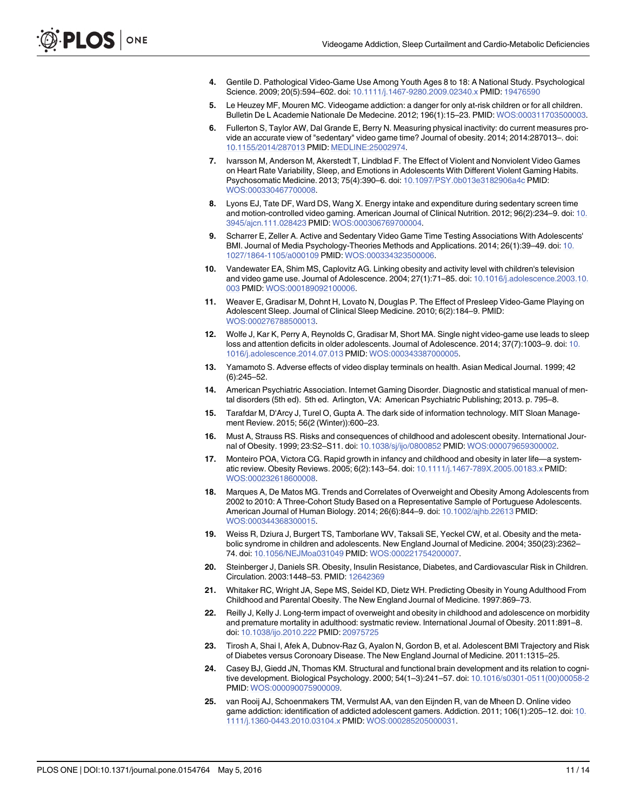- <span id="page-10-0"></span>[4.](#page-1-0) Gentile D. Pathological Video-Game Use Among Youth Ages 8 to 18: A National Study. Psychological Science. 2009; 20(5):594–602. doi: [10.1111/j.1467-9280.2009.02340.x](http://dx.doi.org/10.1111/j.1467-9280.2009.02340.x) PMID: [19476590](http://www.ncbi.nlm.nih.gov/pubmed/19476590)
- [5.](#page-1-0) Le Heuzey MF, Mouren MC. Videogame addiction: a danger for only at-risk children or for all children. Bulletin De L Academie Nationale De Medecine. 2012; 196(1):15–23. PMID: [WOS:000311703500003](http://www.ncbi.nlm.nih.gov/pubmed/WOS:000311703500003).
- [6.](#page-1-0) Fullerton S, Taylor AW, Dal Grande E, Berry N. Measuring physical inactivity: do current measures provide an accurate view of "sedentary" video game time? Journal of obesity. 2014; 2014:287013–. doi: [10.1155/2014/287013](http://dx.doi.org/10.1155/2014/287013) PMID: [MEDLINE:25002974.](http://www.ncbi.nlm.nih.gov/pubmed/MEDLINE:25002974)
- 7. Ivarsson M, Anderson M, Akerstedt T, Lindblad F. The Effect of Violent and Nonviolent Video Games on Heart Rate Variability, Sleep, and Emotions in Adolescents With Different Violent Gaming Habits. Psychosomatic Medicine. 2013; 75(4):390–6. doi: [10.1097/PSY.0b013e3182906a4c](http://dx.doi.org/10.1097/PSY.0b013e3182906a4c) PMID: [WOS:000330467700008](http://www.ncbi.nlm.nih.gov/pubmed/WOS:000330467700008).
- 8. Lyons EJ, Tate DF, Ward DS, Wang X. Energy intake and expenditure during sedentary screen time and motion-controlled video gaming. American Journal of Clinical Nutrition. 2012; 96(2):234–9. doi: [10.](http://dx.doi.org/10.3945/ajcn.111.028423) [3945/ajcn.111.028423](http://dx.doi.org/10.3945/ajcn.111.028423) PMID: [WOS:000306769700004.](http://www.ncbi.nlm.nih.gov/pubmed/WOS:000306769700004)
- 9. Scharrer E, Zeller A. Active and Sedentary Video Game Time Testing Associations With Adolescents' BMI. Journal of Media Psychology-Theories Methods and Applications. 2014; 26(1):39–49. doi: [10.](http://dx.doi.org/10.1027/1864-1105/a000109) [1027/1864-1105/a000109](http://dx.doi.org/10.1027/1864-1105/a000109) PMID: [WOS:000334323500006](http://www.ncbi.nlm.nih.gov/pubmed/WOS:000334323500006).
- 10. Vandewater EA, Shim MS, Caplovitz AG. Linking obesity and activity level with children's television and video game use. Journal of Adolescence. 2004; 27(1):71–85. doi: [10.1016/j.adolescence.2003.10.](http://dx.doi.org/10.1016/j.adolescence.2003.10.003) [003](http://dx.doi.org/10.1016/j.adolescence.2003.10.003) PMID: [WOS:000189092100006.](http://www.ncbi.nlm.nih.gov/pubmed/WOS:000189092100006)
- [11.](#page-2-0) Weaver E, Gradisar M, Dohnt H, Lovato N, Douglas P. The Effect of Presleep Video-Game Playing on Adolescent Sleep. Journal of Clinical Sleep Medicine. 2010; 6(2):184–9. PMID: [WOS:000276788500013](http://www.ncbi.nlm.nih.gov/pubmed/WOS:000276788500013).
- [12.](#page-2-0) Wolfe J, Kar K, Perry A, Reynolds C, Gradisar M, Short MA. Single night video-game use leads to sleep loss and attention deficits in older adolescents. Journal of Adolescence. 2014; 37(7):1003–9. doi: [10.](http://dx.doi.org/10.1016/j.adolescence.2014.07.013) [1016/j.adolescence.2014.07.013](http://dx.doi.org/10.1016/j.adolescence.2014.07.013) PMID: [WOS:000343387000005.](http://www.ncbi.nlm.nih.gov/pubmed/WOS:000343387000005)
- [13.](#page-1-0) Yamamoto S. Adverse effects of video display terminals on health. Asian Medical Journal. 1999; 42 (6):245–52.
- [14.](#page-1-0) American Psychiatric Association. Internet Gaming Disorder. Diagnostic and statistical manual of mental disorders (5th ed). 5th ed. Arlington, VA: American Psychiatric Publishing; 2013. p. 795–8.
- [15.](#page-1-0) Tarafdar M, D'Arcy J, Turel O, Gupta A. The dark side of information technology. MIT Sloan Management Review. 2015; 56(2 (Winter)):600–23.
- [16.](#page-1-0) Must A, Strauss RS. Risks and consequences of childhood and adolescent obesity. International Journal of Obesity. 1999; 23:S2–S11. doi: [10.1038/sj/ijo/0800852](http://dx.doi.org/10.1038/sj/ijo/0800852) PMID: [WOS:000079659300002.](http://www.ncbi.nlm.nih.gov/pubmed/WOS:000079659300002)
- [17.](#page-1-0) Monteiro POA, Victora CG. Rapid growth in infancy and childhood and obesity in later life—a systematic review. Obesity Reviews. 2005; 6(2):143–54. doi: [10.1111/j.1467-789X.2005.00183.x](http://dx.doi.org/10.1111/j.1467-789X.2005.00183.x) PMID: [WOS:000232618600008](http://www.ncbi.nlm.nih.gov/pubmed/WOS:000232618600008).
- [18.](#page-1-0) Marques A, De Matos MG. Trends and Correlates of Overweight and Obesity Among Adolescents from 2002 to 2010: A Three-Cohort Study Based on a Representative Sample of Portuguese Adolescents. American Journal of Human Biology. 2014; 26(6):844-9. doi: [10.1002/ajhb.22613](http://dx.doi.org/10.1002/ajhb.22613) PMID: [WOS:000344368300015](http://www.ncbi.nlm.nih.gov/pubmed/WOS:000344368300015).
- [19.](#page-1-0) Weiss R, Dziura J, Burgert TS, Tamborlane WV, Taksali SE, Yeckel CW, et al. Obesity and the metabolic syndrome in children and adolescents. New England Journal of Medicine. 2004; 350(23):2362– 74. doi: [10.1056/NEJMoa031049](http://dx.doi.org/10.1056/NEJMoa031049) PMID: [WOS:000221754200007](http://www.ncbi.nlm.nih.gov/pubmed/WOS:000221754200007).
- [20.](#page-1-0) Steinberger J, Daniels SR. Obesity, Insulin Resistance, Diabetes, and Cardiovascular Risk in Children. Circulation. 2003:1448–53. PMID: [12642369](http://www.ncbi.nlm.nih.gov/pubmed/12642369)
- [21.](#page-1-0) Whitaker RC, Wright JA, Sepe MS, Seidel KD, Dietz WH. Predicting Obesity in Young Adulthood From Childhood and Parental Obesity. The New England Journal of Medicine. 1997:869–73.
- [22.](#page-1-0) Reilly J, Kelly J. Long-term impact of overweight and obesity in childhood and adolescence on morbidity and premature mortality in adulthood: systmatic review. International Journal of Obesity. 2011:891–8. doi: [10.1038/ijo.2010.222](http://dx.doi.org/10.1038/ijo.2010.222) PMID: [20975725](http://www.ncbi.nlm.nih.gov/pubmed/20975725)
- [23.](#page-1-0) Tirosh A, Shai I, Afek A, Dubnov-Raz G, Ayalon N, Gordon B, et al. Adolescent BMI Trajectory and Risk of Diabetes versus Coronoary Disease. The New England Journal of Medicine. 2011:1315–25.
- [24.](#page-2-0) Casey BJ, Giedd JN, Thomas KM. Structural and functional brain development and its relation to cognitive development. Biological Psychology. 2000; 54(1–3):241–57. doi: [10.1016/s0301-0511\(00\)00058-2](http://dx.doi.org/10.1016/s0301-0511(00)00058-2) PMID: [WOS:000090075900009.](http://www.ncbi.nlm.nih.gov/pubmed/WOS:000090075900009)
- [25.](#page-2-0) van Rooij AJ, Schoenmakers TM, Vermulst AA, van den Eijnden R, van de Mheen D. Online video game addiction: identification of addicted adolescent gamers. Addiction. 2011; 106(1):205–12. doi: [10.](http://dx.doi.org/10.1111/j.1360-0443.2010.03104.x) [1111/j.1360-0443.2010.03104.x](http://dx.doi.org/10.1111/j.1360-0443.2010.03104.x) PMID: [WOS:000285205000031](http://www.ncbi.nlm.nih.gov/pubmed/WOS:000285205000031).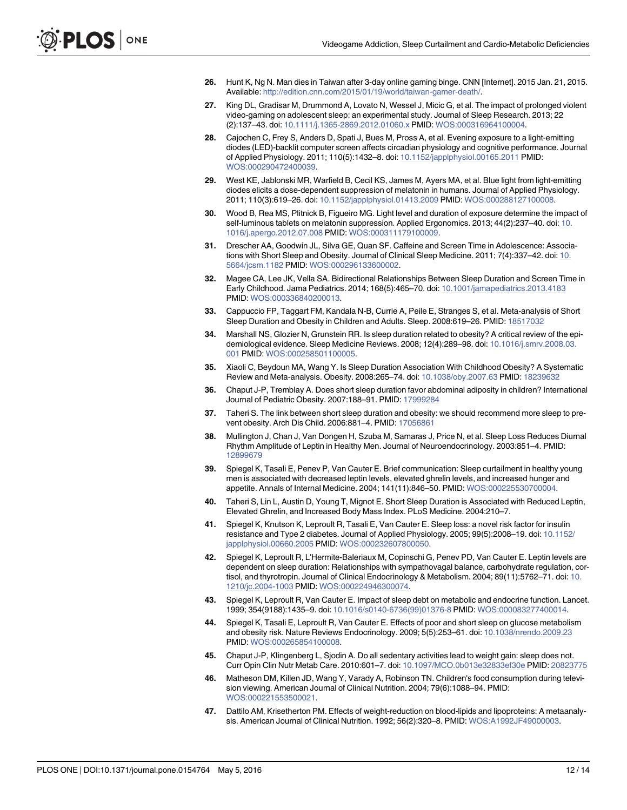- <span id="page-11-0"></span>[26.](#page-2-0) Hunt K, Ng N. Man dies in Taiwan after 3-day online gaming binge. CNN [Internet]. 2015 Jan. 21, 2015. Available: <http://edition.cnn.com/2015/01/19/world/taiwan-gamer-death/>.
- [27.](#page-2-0) King DL, Gradisar M, Drummond A, Lovato N, Wessel J, Micic G, et al. The impact of prolonged violent video-gaming on adolescent sleep: an experimental study. Journal of Sleep Research. 2013; 22 (2):137–43. doi: [10.1111/j.1365-2869.2012.01060.x](http://dx.doi.org/10.1111/j.1365-2869.2012.01060.x) PMID: [WOS:000316964100004.](http://www.ncbi.nlm.nih.gov/pubmed/WOS:000316964100004)
- [28.](#page-2-0) Cajochen C, Frey S, Anders D, Spati J, Bues M, Pross A, et al. Evening exposure to a light-emitting diodes (LED)-backlit computer screen affects circadian physiology and cognitive performance. Journal of Applied Physiology. 2011; 110(5):1432–8. doi: [10.1152/japplphysiol.00165.2011](http://dx.doi.org/10.1152/japplphysiol.00165.2011) PMID: [WOS:000290472400039](http://www.ncbi.nlm.nih.gov/pubmed/WOS:000290472400039).
- 29. West KE, Jablonski MR, Warfield B, Cecil KS, James M, Ayers MA, et al. Blue light from light-emitting diodes elicits a dose-dependent suppression of melatonin in humans. Journal of Applied Physiology. 2011; 110(3):619–26. doi: [10.1152/japplphysiol.01413.2009](http://dx.doi.org/10.1152/japplphysiol.01413.2009) PMID: [WOS:000288127100008.](http://www.ncbi.nlm.nih.gov/pubmed/WOS:000288127100008)
- [30.](#page-2-0) Wood B, Rea MS, Plitnick B, Figueiro MG. Light level and duration of exposure determine the impact of self-luminous tablets on melatonin suppression. Applied Ergonomics. 2013; 44(2):237–40. doi: [10.](http://dx.doi.org/10.1016/j.apergo.2012.07.008) [1016/j.apergo.2012.07.008](http://dx.doi.org/10.1016/j.apergo.2012.07.008) PMID: [WOS:000311179100009.](http://www.ncbi.nlm.nih.gov/pubmed/WOS:000311179100009)
- [31.](#page-2-0) Drescher AA, Goodwin JL, Silva GE, Quan SF. Caffeine and Screen Time in Adolescence: Associations with Short Sleep and Obesity. Journal of Clinical Sleep Medicine. 2011; 7(4):337–42. doi: [10.](http://dx.doi.org/10.5664/jcsm.1182) [5664/jcsm.1182](http://dx.doi.org/10.5664/jcsm.1182) PMID: [WOS:000296133600002](http://www.ncbi.nlm.nih.gov/pubmed/WOS:000296133600002).
- [32.](#page-2-0) Magee CA, Lee JK, Vella SA. Bidirectional Relationships Between Sleep Duration and Screen Time in Early Childhood. Jama Pediatrics. 2014; 168(5):465–70. doi: [10.1001/jamapediatrics.2013.4183](http://dx.doi.org/10.1001/jamapediatrics.2013.4183) PMID: [WOS:000336840200013.](http://www.ncbi.nlm.nih.gov/pubmed/WOS:000336840200013)
- [33.](#page-2-0) Cappuccio FP, Taggart FM, Kandala N-B, Currie A, Peile E, Stranges S, et al. Meta-analysis of Short Sleep Duration and Obesity in Children and Adults. Sleep. 2008:619–26. PMID: [18517032](http://www.ncbi.nlm.nih.gov/pubmed/18517032)
- [34.](#page-8-0) Marshall NS, Glozier N, Grunstein RR. Is sleep duration related to obesity? A critical review of the epidemiological evidence. Sleep Medicine Reviews. 2008; 12(4):289–98. doi: [10.1016/j.smrv.2008.03.](http://dx.doi.org/10.1016/j.smrv.2008.03.001) [001](http://dx.doi.org/10.1016/j.smrv.2008.03.001) PMID: [WOS:000258501100005.](http://www.ncbi.nlm.nih.gov/pubmed/WOS:000258501100005)
- [35.](#page-2-0) Xiaoli C, Beydoun MA, Wang Y. Is Sleep Duration Association With Childhood Obesity? A Systematic Review and Meta-analysis. Obesity. 2008:265–74. doi: [10.1038/oby.2007.63](http://dx.doi.org/10.1038/oby.2007.63) PMID: [18239632](http://www.ncbi.nlm.nih.gov/pubmed/18239632)
- [36.](#page-2-0) Chaput J-P, Tremblay A. Does short sleep duration favor abdominal adiposity in children? International Journal of Pediatric Obesity. 2007:188–91. PMID: [17999284](http://www.ncbi.nlm.nih.gov/pubmed/17999284)
- [37.](#page-2-0) Taheri S. The link between short sleep duration and obesity: we should recommend more sleep to prevent obesity. Arch Dis Child. 2006:881–4. PMID: [17056861](http://www.ncbi.nlm.nih.gov/pubmed/17056861)
- [38.](#page-2-0) Mullington J, Chan J, Van Dongen H, Szuba M, Samaras J, Price N, et al. Sleep Loss Reduces Diurnal Rhythm Amplitude of Leptin in Healthy Men. Journal of Neuroendocrinology. 2003:851–4. PMID: [12899679](http://www.ncbi.nlm.nih.gov/pubmed/12899679)
- [39.](#page-2-0) Spiegel K, Tasali E, Penev P, Van Cauter E. Brief communication: Sleep curtailment in healthy young men is associated with decreased leptin levels, elevated ghrelin levels, and increased hunger and appetite. Annals of Internal Medicine. 2004; 141(11):846–50. PMID: [WOS:000225530700004.](http://www.ncbi.nlm.nih.gov/pubmed/WOS:000225530700004)
- [40.](#page-2-0) Taheri S, Lin L, Austin D, Young T, Mignot E. Short Sleep Duration is Associated with Reduced Leptin, Elevated Ghrelin, and Increased Body Mass Index. PLoS Medicine. 2004:210–7.
- [41.](#page-2-0) Spiegel K, Knutson K, Leproult R, Tasali E, Van Cauter E. Sleep loss: a novel risk factor for insulin resistance and Type 2 diabetes. Journal of Applied Physiology. 2005; 99(5):2008–19. doi: [10.1152/](http://dx.doi.org/10.1152/japplphysiol.00660.2005) [japplphysiol.00660.2005](http://dx.doi.org/10.1152/japplphysiol.00660.2005) PMID: [WOS:000232607800050.](http://www.ncbi.nlm.nih.gov/pubmed/WOS:000232607800050)
- 42. Spiegel K, Leproult R, L'Hermite-Baleriaux M, Copinschi G, Penev PD, Van Cauter E. Leptin levels are dependent on sleep duration: Relationships with sympathovagal balance, carbohydrate regulation, cortisol, and thyrotropin. Journal of Clinical Endocrinology & Metabolism. 2004; 89(11):5762–71. doi: [10.](http://dx.doi.org/10.1210/jc.2004-1003) [1210/jc.2004-1003](http://dx.doi.org/10.1210/jc.2004-1003) PMID: [WOS:000224946300074](http://www.ncbi.nlm.nih.gov/pubmed/WOS:000224946300074).
- 43. Spiegel K, Leproult R, Van Cauter E. Impact of sleep debt on metabolic and endocrine function. Lancet. 1999; 354(9188):1435–9. doi: [10.1016/s0140-6736\(99\)01376-8](http://dx.doi.org/10.1016/s0140-6736(99)01376-8) PMID: [WOS:000083277400014.](http://www.ncbi.nlm.nih.gov/pubmed/WOS:000083277400014)
- [44.](#page-2-0) Spiegel K, Tasali E, Leproult R, Van Cauter E. Effects of poor and short sleep on glucose metabolism and obesity risk. Nature Reviews Endocrinology. 2009; 5(5):253–61. doi: [10.1038/nrendo.2009.23](http://dx.doi.org/10.1038/nrendo.2009.23) PMID: [WOS:000265854100008.](http://www.ncbi.nlm.nih.gov/pubmed/WOS:000265854100008)
- [45.](#page-2-0) Chaput J-P, Klingenberg L, Sjodin A. Do all sedentary activities lead to weight gain: sleep does not. Curr Opin Clin Nutr Metab Care. 2010:601–7. doi: [10.1097/MCO.0b013e32833ef30e](http://dx.doi.org/10.1097/MCO.0b013e32833ef30e) PMID: [20823775](http://www.ncbi.nlm.nih.gov/pubmed/20823775)
- [46.](#page-2-0) Matheson DM, Killen JD, Wang Y, Varady A, Robinson TN. Children's food consumption during television viewing. American Journal of Clinical Nutrition. 2004; 79(6):1088–94. PMID: [WOS:000221553500021](http://www.ncbi.nlm.nih.gov/pubmed/WOS:000221553500021).
- [47.](#page-2-0) Dattilo AM, Krisetherton PM. Effects of weight-reduction on blood-lipids and lipoproteins: A metaanalysis. American Journal of Clinical Nutrition. 1992; 56(2):320–8. PMID: [WOS:A1992JF49000003](http://www.ncbi.nlm.nih.gov/pubmed/WOS:A1992JF49000003).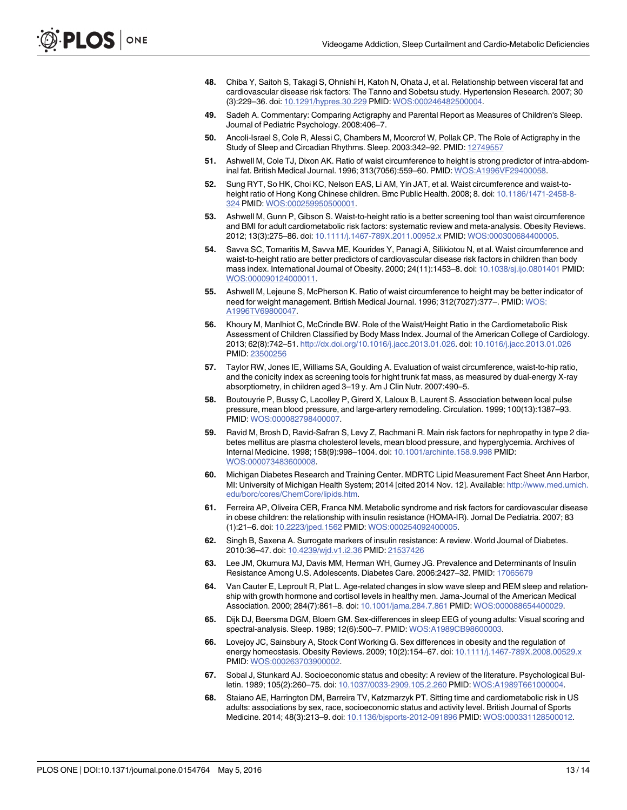- <span id="page-12-0"></span>[48.](#page-2-0) Chiba Y, Saitoh S, Takagi S, Ohnishi H, Katoh N, Ohata J, et al. Relationship between visceral fat and cardiovascular disease risk factors: The Tanno and Sobetsu study. Hypertension Research. 2007; 30 (3):229–36. doi: [10.1291/hypres.30.229](http://dx.doi.org/10.1291/hypres.30.229) PMID: [WOS:000246482500004.](http://www.ncbi.nlm.nih.gov/pubmed/WOS:000246482500004)
- [49.](#page-4-0) Sadeh A. Commentary: Comparing Actigraphy and Parental Report as Measures of Children's Sleep. Journal of Pediatric Psychology. 2008:406–7.
- [50.](#page-4-0) Ancoli-Israel S, Cole R, Alessi C, Chambers M, Moorcrof W, Pollak CP. The Role of Actigraphy in the Study of Sleep and Circadian Rhythms. Sleep. 2003:342–92. PMID: [12749557](http://www.ncbi.nlm.nih.gov/pubmed/12749557)
- [51.](#page-4-0) Ashwell M, Cole TJ, Dixon AK. Ratio of waist circumference to height is strong predictor of intra-abdominal fat. British Medical Journal. 1996; 313(7056):559–60. PMID: [WOS:A1996VF29400058](http://www.ncbi.nlm.nih.gov/pubmed/WOS:A1996VF29400058).
- [52.](#page-4-0) Sung RYT, So HK, Choi KC, Nelson EAS, Li AM, Yin JAT, et al. Waist circumference and waist-toheight ratio of Hong Kong Chinese children. Bmc Public Health. 2008; 8. doi: [10.1186/1471-2458-8-](http://dx.doi.org/10.1186/1471-2458-8-324) [324](http://dx.doi.org/10.1186/1471-2458-8-324) PMID: [WOS:000259950500001.](http://www.ncbi.nlm.nih.gov/pubmed/WOS:000259950500001)
- [53.](#page-5-0) Ashwell M, Gunn P, Gibson S. Waist-to-height ratio is a better screening tool than waist circumference and BMI for adult cardiometabolic risk factors: systematic review and meta-analysis. Obesity Reviews. 2012; 13(3):275–86. doi: [10.1111/j.1467-789X.2011.00952.x](http://dx.doi.org/10.1111/j.1467-789X.2011.00952.x) PMID: [WOS:000300684400005.](http://www.ncbi.nlm.nih.gov/pubmed/WOS:000300684400005)
- [54.](#page-5-0) Savva SC, Tornaritis M, Savva ME, Kourides Y, Panagi A, Silikiotou N, et al. Waist circumference and waist-to-height ratio are better predictors of cardiovascular disease risk factors in children than body mass index. International Journal of Obesity. 2000; 24(11):1453–8. doi: [10.1038/sj.ijo.0801401](http://dx.doi.org/10.1038/sj.ijo.0801401) PMID: [WOS:000090124000011](http://www.ncbi.nlm.nih.gov/pubmed/WOS:000090124000011).
- [55.](#page-5-0) Ashwell M, Lejeune S, McPherson K. Ratio of waist circumference to height may be better indicator of need for weight management. British Medical Journal. 1996; 312(7027):377–. PMID: [WOS:](http://www.ncbi.nlm.nih.gov/pubmed/WOS:A1996TV69800047) [A1996TV69800047](http://www.ncbi.nlm.nih.gov/pubmed/WOS:A1996TV69800047).
- [56.](#page-5-0) Khoury M, Manlhiot C, McCrindle BW. Role of the Waist/Height Ratio in the Cardiometabolic Risk Assessment of Children Classified by Body Mass Index. Journal of the American College of Cardiology. 2013; 62(8):742–51. [http://dx.doi.org/10.1016/j.jacc.2013.01.026.](http://dx.doi.org/10.1016/j.jacc.2013.01.026) doi: [10.1016/j.jacc.2013.01.026](http://dx.doi.org/10.1016/j.jacc.2013.01.026) PMID: [23500256](http://www.ncbi.nlm.nih.gov/pubmed/23500256)
- [57.](#page-5-0) Taylor RW, Jones IE, Williams SA, Goulding A. Evaluation of waist circumference, waist-to-hip ratio, and the conicity index as screening tools for hight trunk fat mass, as measured by dual-energy X-ray absorptiometry, in children aged 3–19 y. Am J Clin Nutr. 2007:490–5.
- [58.](#page-5-0) Boutouyrie P, Bussy C, Lacolley P, Girerd X, Laloux B, Laurent S. Association between local pulse pressure, mean blood pressure, and large-artery remodeling. Circulation. 1999; 100(13):1387–93. PMID: [WOS:000082798400007.](http://www.ncbi.nlm.nih.gov/pubmed/WOS:000082798400007)
- [59.](#page-5-0) Ravid M, Brosh D, Ravid-Safran S, Levy Z, Rachmani R. Main risk factors for nephropathy in type 2 diabetes mellitus are plasma cholesterol levels, mean blood pressure, and hyperglycemia. Archives of Internal Medicine. 1998; 158(9):998–1004. doi: [10.1001/archinte.158.9.998](http://dx.doi.org/10.1001/archinte.158.9.998) PMID: [WOS:000073483600008](http://www.ncbi.nlm.nih.gov/pubmed/WOS:000073483600008).
- [60.](#page-5-0) Michigan Diabetes Research and Training Center. MDRTC Lipid Measurement Fact Sheet Ann Harbor, MI: University of Michigan Health System; 2014 [cited 2014 Nov. 12]. Available: [http://www.med.umich.](http://www.med.umich.edu/borc/cores/ChemCore/lipids.htm) [edu/borc/cores/ChemCore/lipids.htm](http://www.med.umich.edu/borc/cores/ChemCore/lipids.htm).
- [61.](#page-5-0) Ferreira AP, Oliveira CER, Franca NM. Metabolic syndrome and risk factors for cardiovascular disease in obese children: the relationship with insulin resistance (HOMA-IR). Jornal De Pediatria. 2007; 83 (1):21–6. doi: [10.2223/jped.1562](http://dx.doi.org/10.2223/jped.1562) PMID: [WOS:000254092400005.](http://www.ncbi.nlm.nih.gov/pubmed/WOS:000254092400005)
- [62.](#page-5-0) Singh B, Saxena A. Surrogate markers of insulin resistance: A review. World Journal of Diabetes. 2010:36–47. doi: [10.4239/wjd.v1.i2.36](http://dx.doi.org/10.4239/wjd.v1.i2.36) PMID: [21537426](http://www.ncbi.nlm.nih.gov/pubmed/21537426)
- [63.](#page-5-0) Lee JM, Okumura MJ, Davis MM, Herman WH, Gurney JG. Prevalence and Determinants of Insulin Resistance Among U.S. Adolescents. Diabetes Care. 2006:2427–32. PMID: [17065679](http://www.ncbi.nlm.nih.gov/pubmed/17065679)
- [64.](#page-5-0) Van Cauter E, Leproult R, Plat L. Age-related changes in slow wave sleep and REM sleep and relationship with growth hormone and cortisol levels in healthy men. Jama-Journal of the American Medical Association. 2000; 284(7):861–8. doi: [10.1001/jama.284.7.861](http://dx.doi.org/10.1001/jama.284.7.861) PMID: [WOS:000088654400029](http://www.ncbi.nlm.nih.gov/pubmed/WOS:000088654400029).
- [65.](#page-5-0) Dijk DJ, Beersma DGM, Bloem GM. Sex-differences in sleep EEG of young adults: Visual scoring and spectral-analysis. Sleep. 1989; 12(6):500–7. PMID: [WOS:A1989CB98600003.](http://www.ncbi.nlm.nih.gov/pubmed/WOS:A1989CB98600003)
- [66.](#page-5-0) Lovejoy JC, Sainsbury A, Stock Conf Working G. Sex differences in obesity and the regulation of energy homeostasis. Obesity Reviews. 2009; 10(2):154-67. doi: [10.1111/j.1467-789X.2008.00529.x](http://dx.doi.org/10.1111/j.1467-789X.2008.00529.x) PMID: [WOS:000263703900002.](http://www.ncbi.nlm.nih.gov/pubmed/WOS:000263703900002)
- [67.](#page-5-0) Sobal J, Stunkard AJ. Socioeconomic status and obesity: A review of the literature. Psychological Bulletin. 1989; 105(2):260–75. doi: [10.1037/0033-2909.105.2.260](http://dx.doi.org/10.1037/0033-2909.105.2.260) PMID: [WOS:A1989T661000004](http://www.ncbi.nlm.nih.gov/pubmed/WOS:A1989T661000004).
- [68.](#page-5-0) Staiano AE, Harrington DM, Barreira TV, Katzmarzyk PT. Sitting time and cardiometabolic risk in US adults: associations by sex, race, socioeconomic status and activity level. British Journal of Sports Medicine. 2014; 48(3):213–9. doi: [10.1136/bjsports-2012-091896](http://dx.doi.org/10.1136/bjsports-2012-091896) PMID: [WOS:000331128500012](http://www.ncbi.nlm.nih.gov/pubmed/WOS:000331128500012).